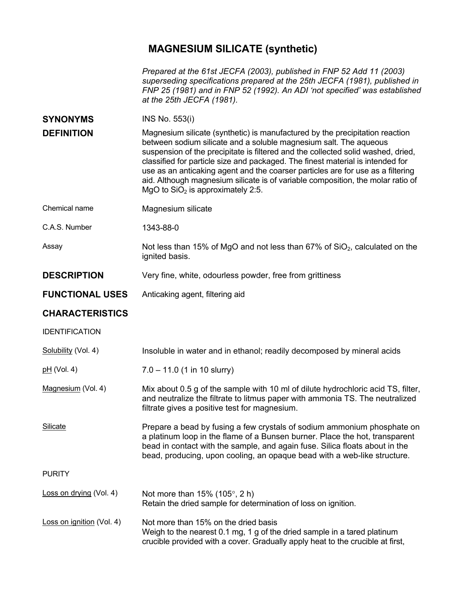## **MAGNESIUM SILICATE (synthetic)**

| Prepared at the 61st JECFA (2003), published in FNP 52 Add 11 (2003)       |
|----------------------------------------------------------------------------|
| superseding specifications prepared at the 25th JECFA (1981), published in |
| FNP 25 (1981) and in FNP 52 (1992). An ADI 'not specified' was established |
| at the 25th JECFA (1981).                                                  |

| <b>SYNONYMS</b>   | INS No. 553(i)                                                                                                                                                                                                                                                                                                                                                                                                                                                                                                                       |
|-------------------|--------------------------------------------------------------------------------------------------------------------------------------------------------------------------------------------------------------------------------------------------------------------------------------------------------------------------------------------------------------------------------------------------------------------------------------------------------------------------------------------------------------------------------------|
| <b>DEFINITION</b> | Magnesium silicate (synthetic) is manufactured by the precipitation reaction<br>between sodium silicate and a soluble magnesium salt. The aqueous<br>suspension of the precipitate is filtered and the collected solid washed, dried,<br>classified for particle size and packaged. The finest material is intended for<br>use as an anticaking agent and the coarser particles are for use as a filtering<br>aid. Although magnesium silicate is of variable composition, the molar ratio of<br>MgO to $SiO2$ is approximately 2:5. |
|                   |                                                                                                                                                                                                                                                                                                                                                                                                                                                                                                                                      |

Chemical name Magnesium silicate

C.A.S. Number 1343-88-0

Assay Not less than 15% of MgO and not less than 67% of SiO<sub>2</sub>, calculated on the ignited basis.

**DESCRIPTION** Very fine, white, odourless powder, free from grittiness

**FUNCTIONAL USES** Anticaking agent, filtering aid

## **CHARACTERISTICS**

## IDENTIFICATION Solubility (Vol. 4) Insoluble in water and in ethanol; readily decomposed by mineral acids  $pH (Vol. 4)$  7.0 – 11.0 (1 in 10 slurry) Magnesium (Vol. 4) Mix about 0.5 g of the sample with 10 ml of dilute hydrochloric acid TS, filter, and neutralize the filtrate to litmus paper with ammonia TS. The neutralized filtrate gives a positive test for magnesium. Silicate **Prepare a bead by fusing a few crystals of sodium ammonium phosphate on** a platinum loop in the flame of a Bunsen burner. Place the hot, transparent bead in contact with the sample, and again fuse. Silica floats about in the bead, producing, upon cooling, an opaque bead with a web-like structure. **PURITY** Loss on drying (Vol. 4) Not more than  $15\%$  (105 $^{\circ}$ , 2 h) Retain the dried sample for determination of loss on ignition. Loss on ignition (Vol. 4) Not more than 15% on the dried basis Weigh to the nearest 0.1 mg, 1 g of the dried sample in a tared platinum

crucible provided with a cover. Gradually apply heat to the crucible at first,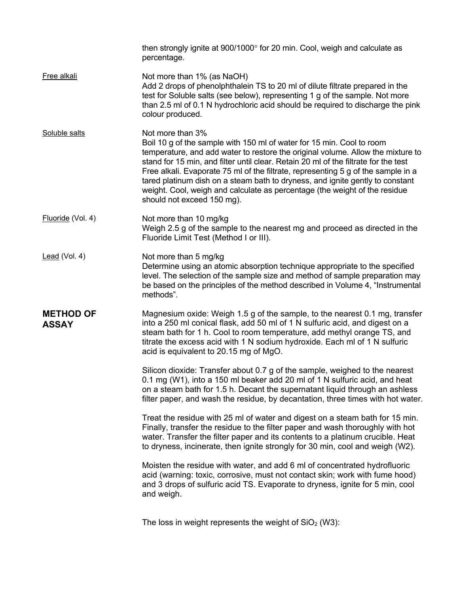|                                  | then strongly ignite at 900/1000° for 20 min. Cool, weigh and calculate as<br>percentage.                                                                                                                                                                                                                                                                                                                                                                                                                                                             |
|----------------------------------|-------------------------------------------------------------------------------------------------------------------------------------------------------------------------------------------------------------------------------------------------------------------------------------------------------------------------------------------------------------------------------------------------------------------------------------------------------------------------------------------------------------------------------------------------------|
| Free alkali                      | Not more than 1% (as NaOH)<br>Add 2 drops of phenolphthalein TS to 20 ml of dilute filtrate prepared in the<br>test for Soluble salts (see below), representing 1 g of the sample. Not more<br>than 2.5 ml of 0.1 N hydrochloric acid should be required to discharge the pink<br>colour produced.                                                                                                                                                                                                                                                    |
| Soluble salts                    | Not more than 3%<br>Boil 10 g of the sample with 150 ml of water for 15 min. Cool to room<br>temperature, and add water to restore the original volume. Allow the mixture to<br>stand for 15 min, and filter until clear. Retain 20 ml of the filtrate for the test<br>Free alkali. Evaporate 75 ml of the filtrate, representing 5 g of the sample in a<br>tared platinum dish on a steam bath to dryness, and ignite gently to constant<br>weight. Cool, weigh and calculate as percentage (the weight of the residue<br>should not exceed 150 mg). |
| Fluoride (Vol. 4)                | Not more than 10 mg/kg<br>Weigh 2.5 g of the sample to the nearest mg and proceed as directed in the<br>Fluoride Limit Test (Method I or III).                                                                                                                                                                                                                                                                                                                                                                                                        |
| Lead (Vol. 4)                    | Not more than 5 mg/kg<br>Determine using an atomic absorption technique appropriate to the specified<br>level. The selection of the sample size and method of sample preparation may<br>be based on the principles of the method described in Volume 4, "Instrumental<br>methods".                                                                                                                                                                                                                                                                    |
| <b>METHOD OF</b><br><b>ASSAY</b> | Magnesium oxide: Weigh 1.5 g of the sample, to the nearest 0.1 mg, transfer<br>into a 250 ml conical flask, add 50 ml of 1 N sulfuric acid, and digest on a<br>steam bath for 1 h. Cool to room temperature, add methyl orange TS, and<br>titrate the excess acid with 1 N sodium hydroxide. Each ml of 1 N sulfuric<br>acid is equivalent to 20.15 mg of MgO.                                                                                                                                                                                        |
|                                  | Silicon dioxide: Transfer about 0.7 g of the sample, weighed to the nearest<br>0.1 mg (W1), into a 150 ml beaker add 20 ml of 1 N sulfuric acid, and heat<br>on a steam bath for 1.5 h. Decant the supernatant liquid through an ashless<br>filter paper, and wash the residue, by decantation, three times with hot water.                                                                                                                                                                                                                           |
|                                  | Treat the residue with 25 ml of water and digest on a steam bath for 15 min.<br>Finally, transfer the residue to the filter paper and wash thoroughly with hot<br>water. Transfer the filter paper and its contents to a platinum crucible. Heat<br>to dryness, incinerate, then ignite strongly for 30 min, cool and weigh (W2).                                                                                                                                                                                                                     |
|                                  | Moisten the residue with water, and add 6 ml of concentrated hydrofluoric<br>acid (warning: toxic, corrosive, must not contact skin; work with fume hood)<br>and 3 drops of sulfuric acid TS. Evaporate to dryness, ignite for 5 min, cool<br>and weigh.                                                                                                                                                                                                                                                                                              |
|                                  | The loss in weight represents the weight of $SiO2$ (W3):                                                                                                                                                                                                                                                                                                                                                                                                                                                                                              |